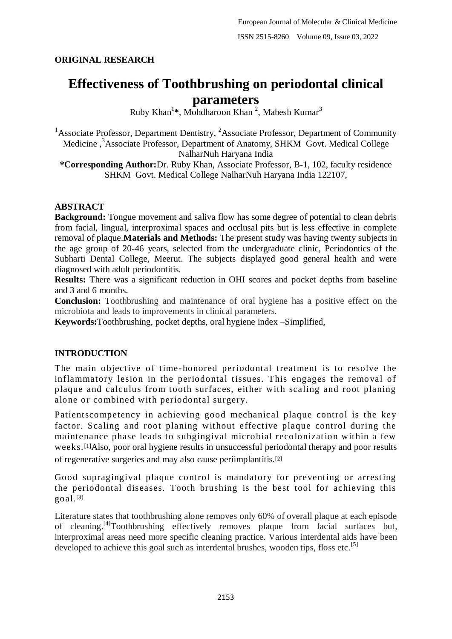# **ORIGINAL RESEARCH**

# **Effectiveness of Toothbrushing on periodontal clinical parameters**

Ruby Khan<sup>1</sup>\*, Mohdharoon Khan<sup>2</sup>, Mahesh Kumar<sup>3</sup>

<sup>1</sup> Associate Professor, Department Dentistry, <sup>2</sup> Associate Professor, Department of Community Medicine,<sup>3</sup>Associate Professor, Department of Anatomy, SHKM Govt. Medical College NalharNuh Haryana India

**\*Corresponding Author:**Dr. Ruby Khan, Associate Professor, B-1, 102, faculty residence SHKM Govt. Medical College NalharNuh Haryana India 122107,

#### **ABSTRACT**

**Background:** Tongue movement and saliva flow has some degree of potential to clean debris from facial, lingual, interproximal spaces and occlusal pits but is less effective in complete removal of plaque.**Materials and Methods:** The present study was having twenty subjects in the age group of 20-46 years, selected from the undergraduate clinic, Periodontics of the Subharti Dental College, Meerut. The subjects displayed good general health and were diagnosed with adult periodontitis.

**Results:** There was a significant reduction in OHI scores and pocket depths from baseline and 3 and 6 months.

**Conclusion:** Toothbrushing and maintenance of oral hygiene has a positive effect on the microbiota and leads to improvements in clinical parameters.

**Keywords:**Toothbrushing, pocket depths, oral hygiene index –Simplified,

### **INTRODUCTION**

The main objective of time-honored periodontal treatment is to resolve the inflammatory lesion in the periodontal tissues. This engages the removal of plaque and calculus from tooth surfaces, either with scaling and root planing alone or combined with periodontal surgery.

Patientscompetency in achieving good mechanical plaque control is the key factor. Scaling and root planing without effective plaque control during the maintenance phase leads to subgingival microbial recolonization within a few weeks.[1]Also, poor oral hygiene results in unsuccessful periodontal therapy and poor results of regenerative surgeries and may also cause periimplantitis.[2]

Good supragingival plaque control is mandatory for preventing or arresting the periodontal diseases. Tooth brushing is the best tool for achieving this goal.[3]

Literature states that toothbrushing alone removes only 60% of overall plaque at each episode of cleaning.<sup>[4]</sup>Toothbrushing effectively removes plaque from facial surfaces but, interproximal areas need more specific cleaning practice. Various interdental aids have been developed to achieve this goal such as interdental brushes, wooden tips, floss etc.<sup>[5]</sup>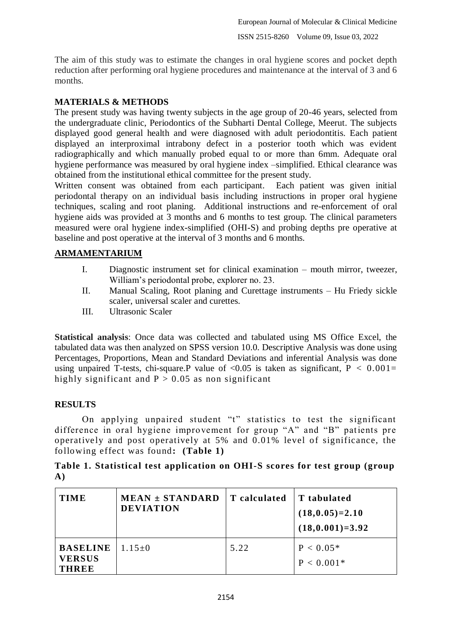The aim of this study was to estimate the changes in oral hygiene scores and pocket depth reduction after performing oral hygiene procedures and maintenance at the interval of 3 and 6 months.

# **MATERIALS & METHODS**

The present study was having twenty subjects in the age group of 20-46 years, selected from the undergraduate clinic, Periodontics of the Subharti Dental College, Meerut. The subjects displayed good general health and were diagnosed with adult periodontitis. Each patient displayed an interproximal intrabony defect in a posterior tooth which was evident radiographically and which manually probed equal to or more than 6mm. Adequate oral hygiene performance was measured by oral hygiene index –simplified. Ethical clearance was obtained from the institutional ethical committee for the present study.

Written consent was obtained from each participant. Each patient was given initial periodontal therapy on an individual basis including instructions in proper oral hygiene techniques, scaling and root planing. Additional instructions and re-enforcement of oral hygiene aids was provided at 3 months and 6 months to test group. The clinical parameters measured were oral hygiene index-simplified (OHI-S) and probing depths pre operative at baseline and post operative at the interval of 3 months and 6 months.

## **ARMAMENTARIUM**

- I. Diagnostic instrument set for clinical examination mouth mirror, tweezer, William's periodontal probe, explorer no. 23.
- II. Manual Scaling, Root planing and Curettage instruments Hu Friedy sickle scaler, universal scaler and curettes.
- III. Ultrasonic Scaler

**Statistical analysis**: Once data was collected and tabulated using MS Office Excel, the tabulated data was then analyzed on SPSS version 10.0. Descriptive Analysis was done using Percentages, Proportions, Mean and Standard Deviations and inferential Analysis was done using unpaired T-tests, chi-square. P value of  $\langle 0.05 \rangle$  is taken as significant, P  $\langle 0.001 \rangle$  = highly significant and  $P > 0.05$  as non significant

# **RESULTS**

On applying unpaired student "t" statistics to test the significant difference in oral hygiene improvement for group "A" and "B" patients pre operatively and post operatively at 5% and 0.01% level of significance, the following effect was found**: (Table 1)**

## **Table 1. Statistical test application on OHI-S scores for test group (group A)**

| <b>TIME</b>                                      | $MEAN \pm STANDARD$<br><b>DEVIATION</b> | T calculated | T tabulated<br>$(18,0.05)=2.10$<br>$(18,0.001)=3.92$ |
|--------------------------------------------------|-----------------------------------------|--------------|------------------------------------------------------|
| <b>BASELINE</b><br><b>VERSUS</b><br><b>THREE</b> | $1.15 \pm 0$                            | 5.22         | $P < 0.05*$<br>$P < 0.001*$                          |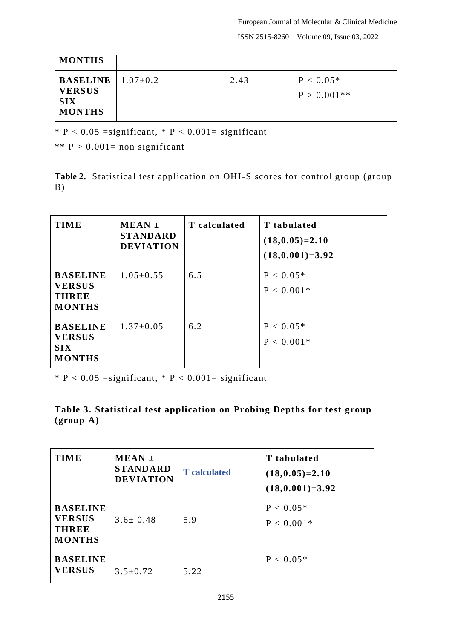European Journal of Molecular & Clinical Medicine ISSN 2515-8260 Volume 09, Issue 03, 2022

| <b>MONTHS</b>                                                                  |      |                              |
|--------------------------------------------------------------------------------|------|------------------------------|
| <b>BASELINE</b>   $1.07\pm0.2$<br><b>VERSUS</b><br><b>SIX</b><br><b>MONTHS</b> | 2.43 | $P < 0.05*$<br>$P > 0.001**$ |

 $*$  P < 0.05 = significant,  $*$  P < 0.001 = significant

\*\*  $P > 0.001$ = non significant

Table 2. Statistical test application on OHI-S scores for control group (group B)

| <b>TIME</b>                                                       | $MEAN \pm$<br><b>STANDARD</b><br><b>DEVIATION</b> | T calculated | T tabulated<br>$(18,0.05)=2.10$<br>$(18,0.001)=3.92$ |
|-------------------------------------------------------------------|---------------------------------------------------|--------------|------------------------------------------------------|
| <b>BASELINE</b><br><b>VERSUS</b><br><b>THREE</b><br><b>MONTHS</b> | $1.05 \pm 0.55$                                   | 6.5          | $P < 0.05*$<br>$P < 0.001*$                          |
| <b>BASELINE</b><br><b>VERSUS</b><br><b>SIX</b><br><b>MONTHS</b>   | $1.37 \pm 0.05$                                   | 6.2          | $P < 0.05*$<br>$P < 0.001*$                          |

 $*$  P < 0.05 = significant,  $*$  P < 0.001 = significant

|                     | Table 3. Statistical test application on Probing Depths for test group |  |  |  |
|---------------------|------------------------------------------------------------------------|--|--|--|
| $(\text{group } A)$ |                                                                        |  |  |  |

| <b>TIME</b>                                                       | $MEAN \pm$<br><b>STANDARD</b><br><b>DEVIATION</b> | <b>T</b> calculated | T tabulated<br>$(18,0.05)=2.10$<br>$(18,0.001)=3.92$ |
|-------------------------------------------------------------------|---------------------------------------------------|---------------------|------------------------------------------------------|
| <b>BASELINE</b><br><b>VERSUS</b><br><b>THREE</b><br><b>MONTHS</b> | $3.6 \pm 0.48$                                    | 5.9                 | $P < 0.05*$<br>$P < 0.001*$                          |
| <b>BASELINE</b><br><b>VERSUS</b>                                  | $3.5 \pm 0.72$                                    | 5.22                | $P < 0.05*$                                          |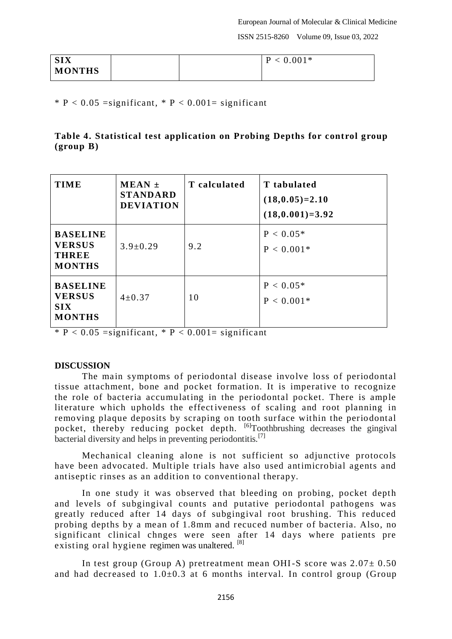| <b>SIX</b> |  | $P < 0.001*$ |
|------------|--|--------------|
| MONTHS     |  |              |

 $*$  P < 0.05 = significant,  $*$  P < 0.001 = significant

## **Table 4. Statistical test application on Probing Depths for control group (group B)**

| <b>TIME</b>                                                       | $MEAN \pm$<br><b>STANDARD</b><br><b>DEVIATION</b> | T calculated | T tabulated<br>$(18,0.05)=2.10$<br>$(18,0.001)=3.92$ |
|-------------------------------------------------------------------|---------------------------------------------------|--------------|------------------------------------------------------|
| <b>BASELINE</b><br><b>VERSUS</b><br><b>THREE</b><br><b>MONTHS</b> | $3.9 \pm 0.29$                                    | 9.2          | $P < 0.05*$<br>$P < 0.001*$                          |
| <b>BASELINE</b><br><b>VERSUS</b><br><b>SIX</b><br><b>MONTHS</b>   | $4\pm 0.37$                                       | 10           | $P < 0.05*$<br>$P < 0.001*$                          |

 $*$  P < 0.05 = significant,  $*$  P < 0.001 = significant

#### **DISCUSSION**

The main symptoms of periodontal disease involve loss of periodontal tissue attachment, bone and pocket formation. It is imperative to recognize the role of bacteria accumulating in the periodontal pocket. There is ample literature which upholds the effectiveness of scaling and root planning in removing plaque deposits by scraping on tooth surface within the periodontal pocket, thereby reducing pocket depth. <sup>[6]</sup>Toothbrushing decreases the gingival bacterial diversity and helps in preventing periodontitis.<sup>[7]</sup>

Mechanical cleaning alone is not sufficient so adjunctive protocols have been advocated. Multiple trials have also used antimicrobial agents and antiseptic rinses as an addition to conventional therapy.

In one study it was observed that bleeding on probing, pocket depth and levels of subgingival counts and putative periodontal pathogens was greatly reduced after 14 days of subgingival root brushing. This reduced probing depths by a mean of 1.8mm and recuced number of bacteria. Also, no significant clinical chnges were seen after 14 days where patients pre existing oral hygiene regimen was unaltered. [8]

In test group (Group A) pretreatment mean OHI-S score was  $2.07 \pm 0.50$ and had decreased to  $1.0\pm0.3$  at 6 months interval. In control group (Group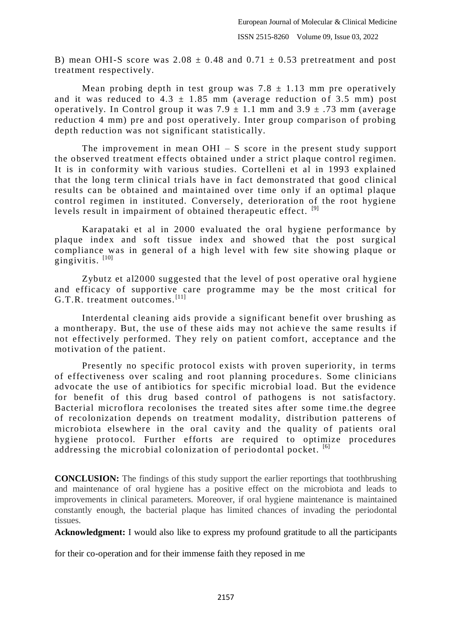B) mean OHI-S score was  $2.08 \pm 0.48$  and  $0.71 \pm 0.53$  pretreatment and post treatment respectively.

Mean probing depth in test group was  $7.8 \pm 1.13$  mm pre operatively and it was reduced to  $4.3 \pm 1.85$  mm (average reduction of 3.5 mm) post operatively. In Control group it was  $7.9 \pm 1.1$  mm and  $3.9 \pm .73$  mm (average reduction 4 mm) pre and post operatively. Inter group comparison of probing depth reduction was not significant statistically.

The improvement in mean  $OHI - S$  score in the present study support the observed treatment e ffects obtained under a strict plaque control regimen. It is in conformity with various studies. Cortelleni et al in 1993 explained that the long term clinical trials have in fact demonstrated that good clinical results can be obtained and maintained over time only if an optimal plaque control regimen in instituted. Conversely, deterioration of the root hygiene levels result in impairment of obtained therapeutic effect. [9]

Karapataki et al in 2000 evaluated the oral hygiene performance by plaque index and soft tissue index and showed that the post surgical compliance was in general of a high level with few site showing plaque or gingivitis.  $[10]$ 

Zybutz et al2000 suggested that the level of post operative oral hygiene and efficacy of supportive care programme may be the most critical for G.T.R. treatment outcomes.<sup>[11]</sup>

Interdental cleaning aids provide a significant benefit over brushing as a montherapy. But, the use of these aids may not achie ve the same results if not effectively performed. They rely on patient comfort, acceptance and the motivation of the patient.

Presently no specific protocol exists with proven superiority, in terms of effectiveness over scaling and root planning procedure s. Some clinicians advocate the use of antibiotics for specific microbial load. But the evidence for benefit of this drug based control of pathogens is not satisfactory. Bacterial microflora recolonises the treated sites after some time.the degree of recolonization depends on treatment modality, distribution patterens of microbiota elsewhere in the oral cavity and the quality of patients oral hygiene protocol. Further efforts are required to optimize procedures addressing the microbial colonization of periodontal pocket.  $\frac{16}{16}$ 

**CONCLUSION:** The findings of this study support the earlier reportings that toothbrushing and maintenance of oral hygiene has a positive effect on the microbiota and leads to improvements in clinical parameters. Moreover, if oral hygiene maintenance is maintained constantly enough, the bacterial plaque has limited chances of invading the periodontal tissues.

**Acknowledgment:** I would also like to express my profound gratitude to all the participants

for their co-operation and for their immense faith they reposed in me